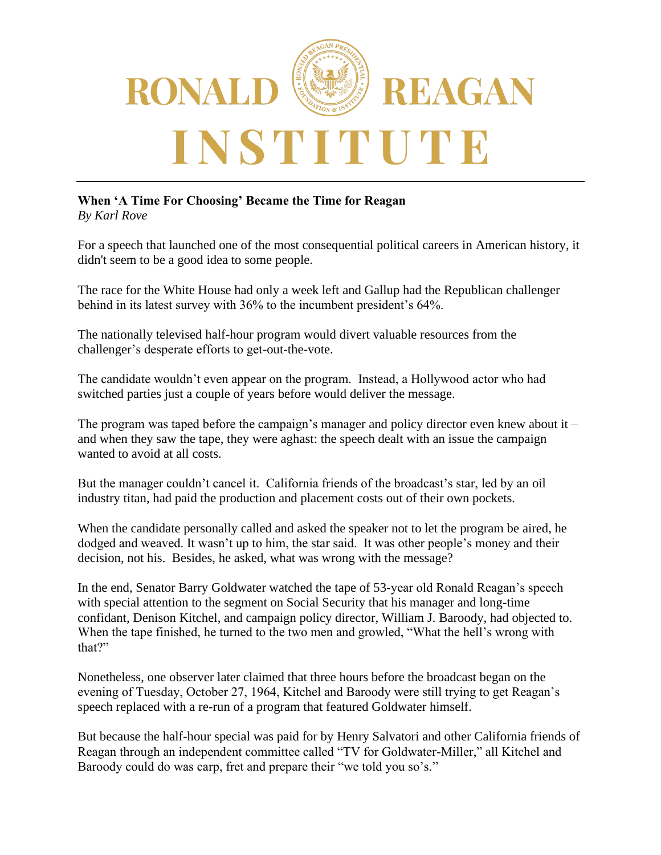

## **When 'A Time For Choosing' Became the Time for Reagan**

*By Karl Rove*

For a speech that launched one of the most consequential political careers in American history, it didn't seem to be a good idea to some people.

The race for the White House had only a week left and Gallup had the Republican challenger behind in its latest survey with 36% to the incumbent president's 64%.

The nationally televised half-hour program would divert valuable resources from the challenger's desperate efforts to get-out-the-vote.

The candidate wouldn't even appear on the program. Instead, a Hollywood actor who had switched parties just a couple of years before would deliver the message.

The program was taped before the campaign's manager and policy director even knew about it – and when they saw the tape, they were aghast: the speech dealt with an issue the campaign wanted to avoid at all costs.

But the manager couldn't cancel it. California friends of the broadcast's star, led by an oil industry titan, had paid the production and placement costs out of their own pockets.

When the candidate personally called and asked the speaker not to let the program be aired, he dodged and weaved. It wasn't up to him, the star said. It was other people's money and their decision, not his. Besides, he asked, what was wrong with the message?

In the end, Senator Barry Goldwater watched the tape of 53-year old Ronald Reagan's speech with special attention to the segment on Social Security that his manager and long-time confidant, Denison Kitchel, and campaign policy director, William J. Baroody, had objected to. When the tape finished, he turned to the two men and growled, "What the hell's wrong with that?"

Nonetheless, one observer later claimed that three hours before the broadcast began on the evening of Tuesday, October 27, 1964, Kitchel and Baroody were still trying to get Reagan's speech replaced with a re-run of a program that featured Goldwater himself.

But because the half-hour special was paid for by Henry Salvatori and other California friends of Reagan through an independent committee called "TV for Goldwater-Miller," all Kitchel and Baroody could do was carp, fret and prepare their "we told you so's."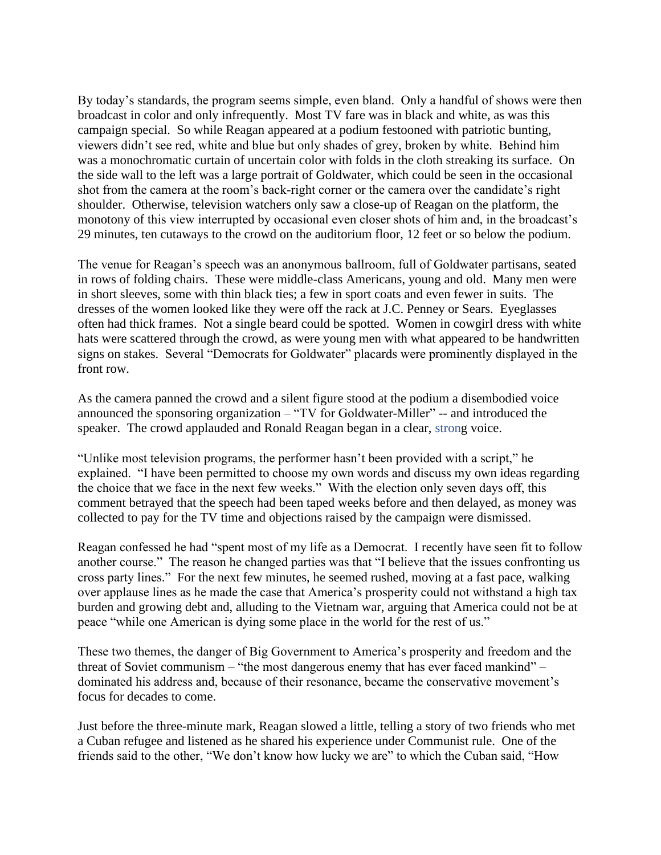By today's standards, the program seems simple, even bland. Only a handful of shows were then broadcast in color and only infrequently. Most TV fare was in black and white, as was this campaign special. So while Reagan appeared at a podium festooned with patriotic bunting, viewers didn't see red, white and blue but only shades of grey, broken by white. Behind him was a monochromatic curtain of uncertain color with folds in the cloth streaking its surface. On the side wall to the left was a large portrait of Goldwater, which could be seen in the occasional shot from the camera at the room's back-right corner or the camera over the candidate's right shoulder. Otherwise, television watchers only saw a close-up of Reagan on the platform, the monotony of this view interrupted by occasional even closer shots of him and, in the broadcast's 29 minutes, ten cutaways to the crowd on the auditorium floor, 12 feet or so below the podium.

The venue for Reagan's speech was an anonymous ballroom, full of Goldwater partisans, seated in rows of folding chairs. These were middle-class Americans, young and old. Many men were in short sleeves, some with thin black ties; a few in sport coats and even fewer in suits. The dresses of the women looked like they were off the rack at J.C. Penney or Sears. Eyeglasses often had thick frames. Not a single beard could be spotted. Women in cowgirl dress with white hats were scattered through the crowd, as were young men with what appeared to be handwritten signs on stakes. Several "Democrats for Goldwater" placards were prominently displayed in the front row.

As the camera panned the crowd and a silent figure stood at the podium a disembodied voice announced the sponsoring organization – "TV for Goldwater-Miller" -- and introduced the speaker. The crowd applauded and Ronald Reagan began in a clear, strong voice.

"Unlike most television programs, the performer hasn't been provided with a script," he explained. "I have been permitted to choose my own words and discuss my own ideas regarding the choice that we face in the next few weeks." With the election only seven days off, this comment betrayed that the speech had been taped weeks before and then delayed, as money was collected to pay for the TV time and objections raised by the campaign were dismissed.

Reagan confessed he had "spent most of my life as a Democrat. I recently have seen fit to follow another course." The reason he changed parties was that "I believe that the issues confronting us cross party lines." For the next few minutes, he seemed rushed, moving at a fast pace, walking over applause lines as he made the case that America's prosperity could not withstand a high tax burden and growing debt and, alluding to the Vietnam war, arguing that America could not be at peace "while one American is dying some place in the world for the rest of us."

These two themes, the danger of Big Government to America's prosperity and freedom and the threat of Soviet communism – "the most dangerous enemy that has ever faced mankind" – dominated his address and, because of their resonance, became the conservative movement's focus for decades to come.

Just before the three-minute mark, Reagan slowed a little, telling a story of two friends who met a Cuban refugee and listened as he shared his experience under Communist rule. One of the friends said to the other, "We don't know how lucky we are" to which the Cuban said, "How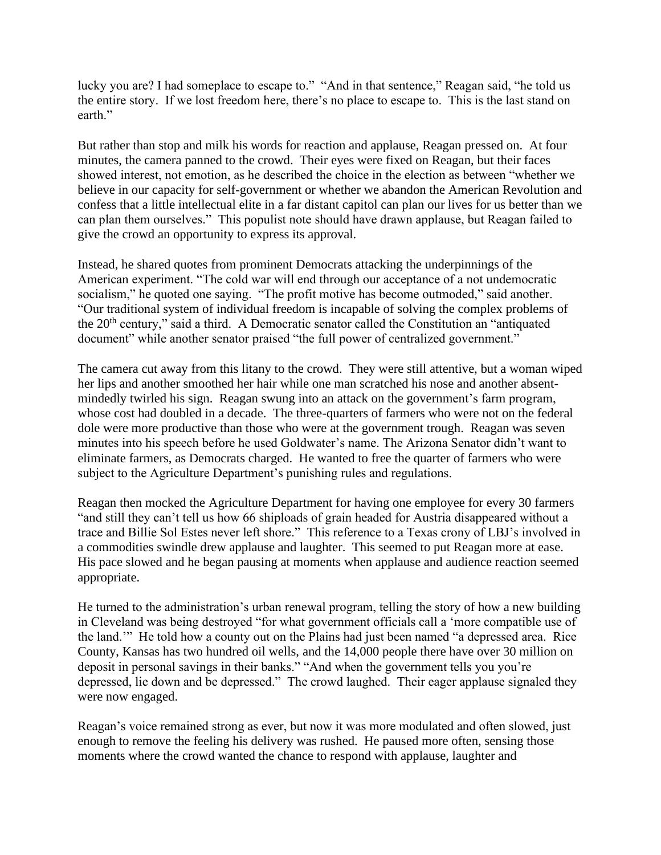lucky you are? I had someplace to escape to." "And in that sentence," Reagan said, "he told us the entire story. If we lost freedom here, there's no place to escape to. This is the last stand on earth."

But rather than stop and milk his words for reaction and applause, Reagan pressed on. At four minutes, the camera panned to the crowd. Their eyes were fixed on Reagan, but their faces showed interest, not emotion, as he described the choice in the election as between "whether we believe in our capacity for self-government or whether we abandon the American Revolution and confess that a little intellectual elite in a far distant capitol can plan our lives for us better than we can plan them ourselves." This populist note should have drawn applause, but Reagan failed to give the crowd an opportunity to express its approval.

Instead, he shared quotes from prominent Democrats attacking the underpinnings of the American experiment. "The cold war will end through our acceptance of a not undemocratic socialism," he quoted one saying. "The profit motive has become outmoded," said another. "Our traditional system of individual freedom is incapable of solving the complex problems of the 20<sup>th</sup> century," said a third. A Democratic senator called the Constitution an "antiquated document" while another senator praised "the full power of centralized government."

The camera cut away from this litany to the crowd. They were still attentive, but a woman wiped her lips and another smoothed her hair while one man scratched his nose and another absentmindedly twirled his sign. Reagan swung into an attack on the government's farm program, whose cost had doubled in a decade. The three-quarters of farmers who were not on the federal dole were more productive than those who were at the government trough. Reagan was seven minutes into his speech before he used Goldwater's name. The Arizona Senator didn't want to eliminate farmers, as Democrats charged. He wanted to free the quarter of farmers who were subject to the Agriculture Department's punishing rules and regulations.

Reagan then mocked the Agriculture Department for having one employee for every 30 farmers "and still they can't tell us how 66 shiploads of grain headed for Austria disappeared without a trace and Billie Sol Estes never left shore." This reference to a Texas crony of LBJ's involved in a commodities swindle drew applause and laughter. This seemed to put Reagan more at ease. His pace slowed and he began pausing at moments when applause and audience reaction seemed appropriate.

He turned to the administration's urban renewal program, telling the story of how a new building in Cleveland was being destroyed "for what government officials call a 'more compatible use of the land.'" He told how a county out on the Plains had just been named "a depressed area. Rice County, Kansas has two hundred oil wells, and the 14,000 people there have over 30 million on deposit in personal savings in their banks." "And when the government tells you you're depressed, lie down and be depressed." The crowd laughed. Their eager applause signaled they were now engaged.

Reagan's voice remained strong as ever, but now it was more modulated and often slowed, just enough to remove the feeling his delivery was rushed. He paused more often, sensing those moments where the crowd wanted the chance to respond with applause, laughter and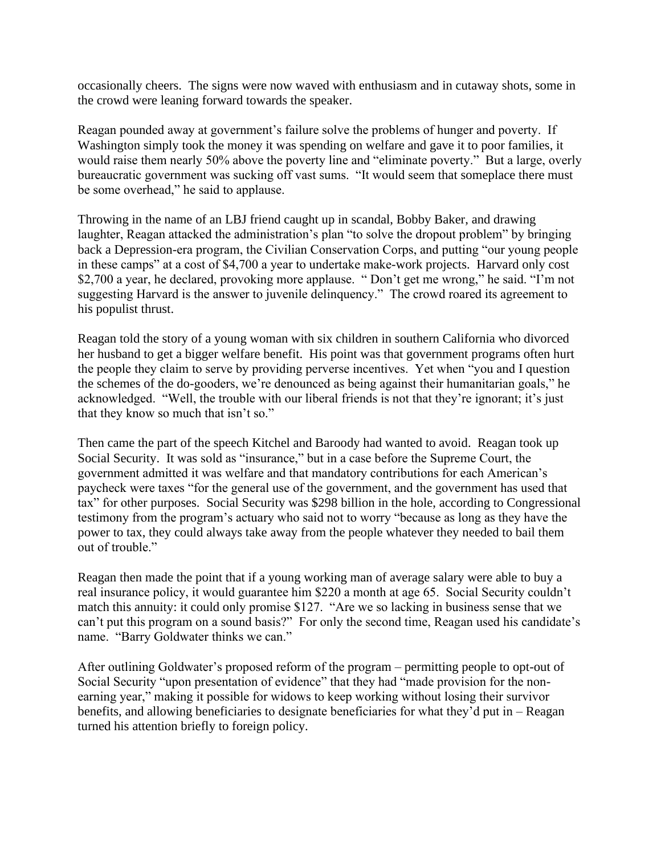occasionally cheers. The signs were now waved with enthusiasm and in cutaway shots, some in the crowd were leaning forward towards the speaker.

Reagan pounded away at government's failure solve the problems of hunger and poverty. If Washington simply took the money it was spending on welfare and gave it to poor families, it would raise them nearly 50% above the poverty line and "eliminate poverty." But a large, overly bureaucratic government was sucking off vast sums. "It would seem that someplace there must be some overhead," he said to applause.

Throwing in the name of an LBJ friend caught up in scandal, Bobby Baker, and drawing laughter, Reagan attacked the administration's plan "to solve the dropout problem" by bringing back a Depression-era program, the Civilian Conservation Corps, and putting "our young people in these camps" at a cost of \$4,700 a year to undertake make-work projects. Harvard only cost \$2,700 a year, he declared, provoking more applause. " Don't get me wrong," he said. "I'm not suggesting Harvard is the answer to juvenile delinquency." The crowd roared its agreement to his populist thrust.

Reagan told the story of a young woman with six children in southern California who divorced her husband to get a bigger welfare benefit. His point was that government programs often hurt the people they claim to serve by providing perverse incentives. Yet when "you and I question the schemes of the do-gooders, we're denounced as being against their humanitarian goals," he acknowledged. "Well, the trouble with our liberal friends is not that they're ignorant; it's just that they know so much that isn't so."

Then came the part of the speech Kitchel and Baroody had wanted to avoid. Reagan took up Social Security. It was sold as "insurance," but in a case before the Supreme Court, the government admitted it was welfare and that mandatory contributions for each American's paycheck were taxes "for the general use of the government, and the government has used that tax" for other purposes. Social Security was \$298 billion in the hole, according to Congressional testimony from the program's actuary who said not to worry "because as long as they have the power to tax, they could always take away from the people whatever they needed to bail them out of trouble."

Reagan then made the point that if a young working man of average salary were able to buy a real insurance policy, it would guarantee him \$220 a month at age 65. Social Security couldn't match this annuity: it could only promise \$127. "Are we so lacking in business sense that we can't put this program on a sound basis?" For only the second time, Reagan used his candidate's name. "Barry Goldwater thinks we can."

After outlining Goldwater's proposed reform of the program – permitting people to opt-out of Social Security "upon presentation of evidence" that they had "made provision for the nonearning year," making it possible for widows to keep working without losing their survivor benefits, and allowing beneficiaries to designate beneficiaries for what they'd put in – Reagan turned his attention briefly to foreign policy.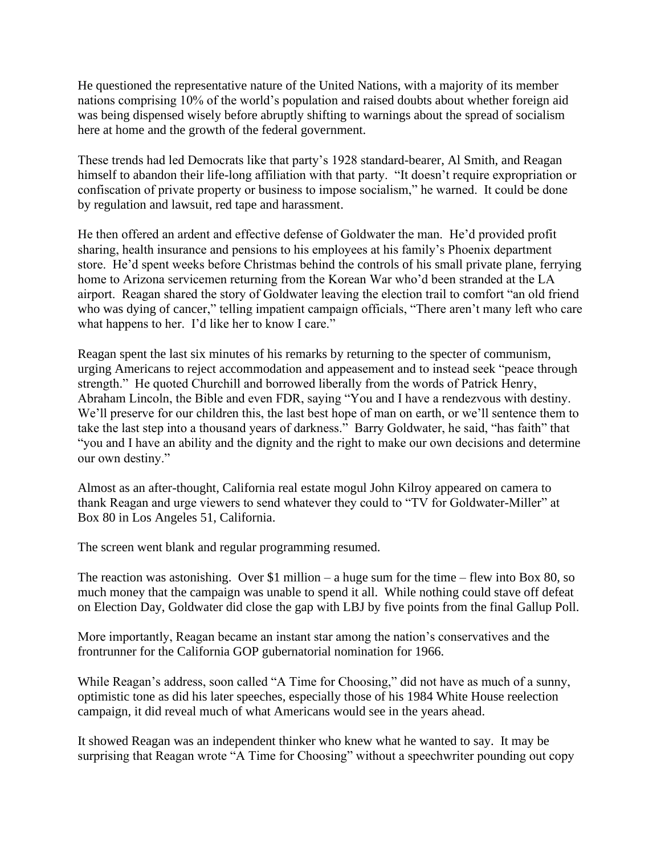He questioned the representative nature of the United Nations, with a majority of its member nations comprising 10% of the world's population and raised doubts about whether foreign aid was being dispensed wisely before abruptly shifting to warnings about the spread of socialism here at home and the growth of the federal government.

These trends had led Democrats like that party's 1928 standard-bearer, Al Smith, and Reagan himself to abandon their life-long affiliation with that party. "It doesn't require expropriation or confiscation of private property or business to impose socialism," he warned. It could be done by regulation and lawsuit, red tape and harassment.

He then offered an ardent and effective defense of Goldwater the man. He'd provided profit sharing, health insurance and pensions to his employees at his family's Phoenix department store. He'd spent weeks before Christmas behind the controls of his small private plane, ferrying home to Arizona servicemen returning from the Korean War who'd been stranded at the LA airport. Reagan shared the story of Goldwater leaving the election trail to comfort "an old friend who was dying of cancer," telling impatient campaign officials, "There aren't many left who care what happens to her. I'd like her to know I care."

Reagan spent the last six minutes of his remarks by returning to the specter of communism, urging Americans to reject accommodation and appeasement and to instead seek "peace through strength." He quoted Churchill and borrowed liberally from the words of Patrick Henry, Abraham Lincoln, the Bible and even FDR, saying "You and I have a rendezvous with destiny. We'll preserve for our children this, the last best hope of man on earth, or we'll sentence them to take the last step into a thousand years of darkness." Barry Goldwater, he said, "has faith" that "you and I have an ability and the dignity and the right to make our own decisions and determine our own destiny."

Almost as an after-thought, California real estate mogul John Kilroy appeared on camera to thank Reagan and urge viewers to send whatever they could to "TV for Goldwater-Miller" at Box 80 in Los Angeles 51, California.

The screen went blank and regular programming resumed.

The reaction was astonishing. Over \$1 million – a huge sum for the time – flew into Box 80, so much money that the campaign was unable to spend it all. While nothing could stave off defeat on Election Day, Goldwater did close the gap with LBJ by five points from the final Gallup Poll.

More importantly, Reagan became an instant star among the nation's conservatives and the frontrunner for the California GOP gubernatorial nomination for 1966.

While Reagan's address, soon called "A Time for Choosing," did not have as much of a sunny, optimistic tone as did his later speeches, especially those of his 1984 White House reelection campaign, it did reveal much of what Americans would see in the years ahead.

It showed Reagan was an independent thinker who knew what he wanted to say. It may be surprising that Reagan wrote "A Time for Choosing" without a speechwriter pounding out copy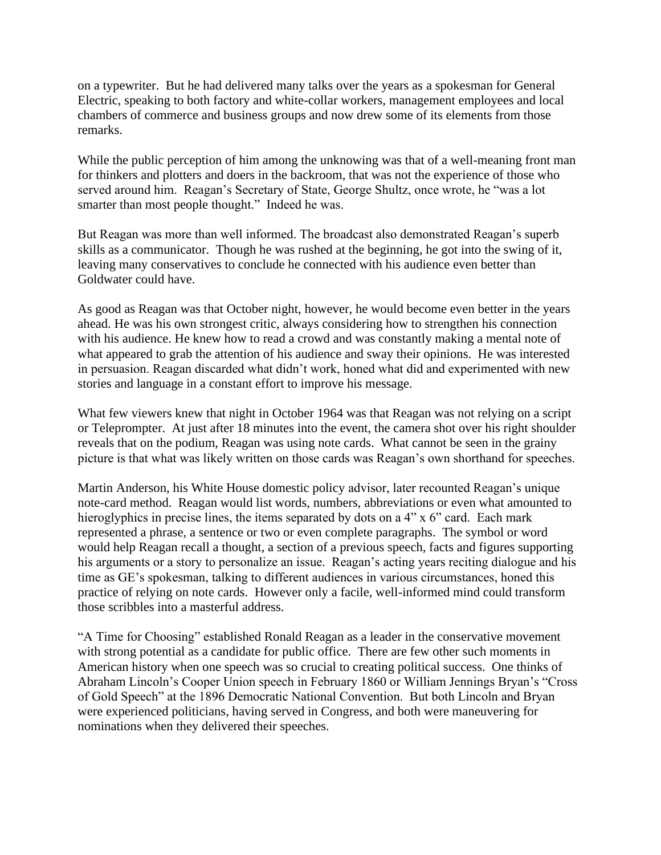on a typewriter. But he had delivered many talks over the years as a spokesman for General Electric, speaking to both factory and white-collar workers, management employees and local chambers of commerce and business groups and now drew some of its elements from those remarks.

While the public perception of him among the unknowing was that of a well-meaning front man for thinkers and plotters and doers in the backroom, that was not the experience of those who served around him. Reagan's Secretary of State, George Shultz, once wrote, he "was a lot smarter than most people thought." Indeed he was.

But Reagan was more than well informed. The broadcast also demonstrated Reagan's superb skills as a communicator. Though he was rushed at the beginning, he got into the swing of it, leaving many conservatives to conclude he connected with his audience even better than Goldwater could have.

As good as Reagan was that October night, however, he would become even better in the years ahead. He was his own strongest critic, always considering how to strengthen his connection with his audience. He knew how to read a crowd and was constantly making a mental note of what appeared to grab the attention of his audience and sway their opinions. He was interested in persuasion. Reagan discarded what didn't work, honed what did and experimented with new stories and language in a constant effort to improve his message.

What few viewers knew that night in October 1964 was that Reagan was not relying on a script or Teleprompter. At just after 18 minutes into the event, the camera shot over his right shoulder reveals that on the podium, Reagan was using note cards. What cannot be seen in the grainy picture is that what was likely written on those cards was Reagan's own shorthand for speeches.

Martin Anderson, his White House domestic policy advisor, later recounted Reagan's unique note-card method. Reagan would list words, numbers, abbreviations or even what amounted to hieroglyphics in precise lines, the items separated by dots on a 4" x 6" card. Each mark represented a phrase, a sentence or two or even complete paragraphs. The symbol or word would help Reagan recall a thought, a section of a previous speech, facts and figures supporting his arguments or a story to personalize an issue. Reagan's acting years reciting dialogue and his time as GE's spokesman, talking to different audiences in various circumstances, honed this practice of relying on note cards. However only a facile, well-informed mind could transform those scribbles into a masterful address.

"A Time for Choosing" established Ronald Reagan as a leader in the conservative movement with strong potential as a candidate for public office. There are few other such moments in American history when one speech was so crucial to creating political success. One thinks of Abraham Lincoln's Cooper Union speech in February 1860 or William Jennings Bryan's "Cross of Gold Speech" at the 1896 Democratic National Convention. But both Lincoln and Bryan were experienced politicians, having served in Congress, and both were maneuvering for nominations when they delivered their speeches.